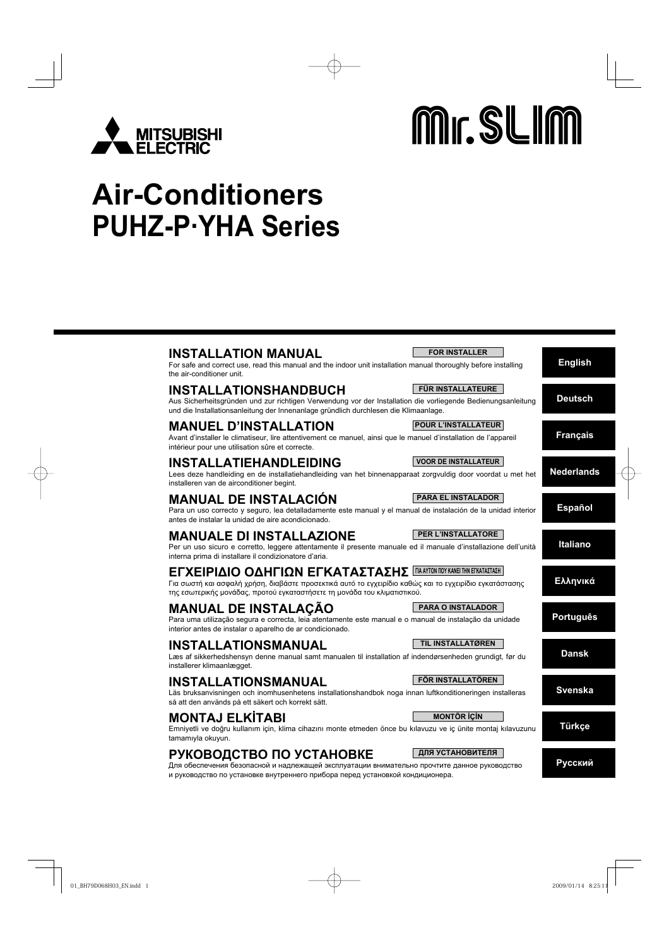

# Mr. SLIM

## **Air-Conditioners PUHZ-P·YHA Series**

| <b>INSTALLATION MANUAL</b><br>For safe and correct use, read this manual and the indoor unit installation manual thoroughly before installing<br>the air-conditioner unit.                                                                                        | <b>FOR INSTALLER</b>        | <b>English</b>    |
|-------------------------------------------------------------------------------------------------------------------------------------------------------------------------------------------------------------------------------------------------------------------|-----------------------------|-------------------|
| <b>INSTALLATIONSHANDBUCH</b><br>Aus Sicherheitsgründen und zur richtigen Verwendung vor der Installation die vorliegende Bedienungsanleitung<br>und die Installationsanleitung der Innenanlage gründlich durchlesen die Klimaanlage.                              | <b>FÜR INSTALLATEURE</b>    | <b>Deutsch</b>    |
| <b>MANUEL D'INSTALLATION</b><br>Avant d'installer le climatiseur, lire attentivement ce manuel, ainsi que le manuel d'installation de l'appareil<br>intérieur pour une utilisation sûre et correcte.                                                              | <b>POUR L'INSTALLATEUR</b>  | <b>Français</b>   |
| <b>INSTALLATIEHANDLEIDING</b><br>Lees deze handleiding en de installatiehandleiding van het binnenapparaat zorgvuldig door voordat u met het<br>installeren van de airconditioner begint.                                                                         | <b>VOOR DE INSTALLATEUR</b> | <b>Nederlands</b> |
| <b>MANUAL DE INSTALACIÓN</b><br>Para un uso correcto y seguro, lea detalladamente este manual y el manual de instalación de la unidad interior<br>antes de instalar la unidad de aire acondicionado.                                                              | <b>PARA EL INSTALADOR</b>   | <b>Español</b>    |
| <b>MANUALE DI INSTALLAZIONE</b><br>Per un uso sicuro e corretto, leggere attentamente il presente manuale ed il manuale d'installazione dell'unità<br>interna prima di installare il condizionatore d'aria.                                                       | <b>PER L'INSTALLATORE</b>   | <b>Italiano</b>   |
| <b>ΕΓΧΕΙΡΙΔΙΟ ΟΔΗΓΙΩΝ ΕΓΚΑΤΑΣΤΑΣΗΣ ΓΙΑΑΥΤΟΝ ΠΟΥ ΚΑΝΕΙ ΤΗΝ ΕΓΚΑΤΑΣΤΑΣΗ</b><br>Για σωστή και ασφαλή χρήση, διαβάστε προσεκτικά αυτό το εγχειρίδιο καθώς και το εγχειρίδιο εγκατάστασης<br>της εσωτερικής μονάδας, προτού εγκαταστήσετε τη μονάδα του κλιματιστικού. |                             | Ελληνικά          |
| <b>MANUAL DE INSTALAÇÃO</b><br>Para uma utilização segura e correcta, leia atentamente este manual e o manual de instalação da unidade<br>interior antes de instalar o aparelho de ar condicionado.                                                               | <b>PARA O INSTALADOR</b>    | <b>Português</b>  |
| INSTALLATIONSMANUAL<br>Læs af sikkerhedshensyn denne manual samt manualen til installation af indendørsenheden grundigt, før du<br>installerer klimaanlægget.                                                                                                     | <b>TIL INSTALLATØREN</b>    | <b>Dansk</b>      |
| <b>INSTALLATIONSMANUAL</b><br>Läs bruksanvisningen och inomhusenhetens installationshandbok noga innan luftkonditioneringen installeras<br>så att den används på ett säkert och korrekt sätt.                                                                     | FÖR INSTALLATÖREN           | <b>Svenska</b>    |
| <b>MONTAJ ELKÍTABI</b><br>Emniyetli ve doğru kullanım için, klima cihazını monte etmeden önce bu kılavuzu ve iç ünite montaj kılavuzunu<br>tamamıyla okuyun.                                                                                                      | <b>MONTÖR İÇİN</b>          | <b>Türkçe</b>     |
| РУКОВОДСТВО ПО УСТАНОВКЕ<br>Для обеспечения безопасной и надлежащей эксплуатации внимательно прочтите данное руководство<br>и руководство по установке внутреннего прибора перед установкой кондиционера.                                                         | ДЛЯ УСТАНОВИТЕЛЯ            | Русский           |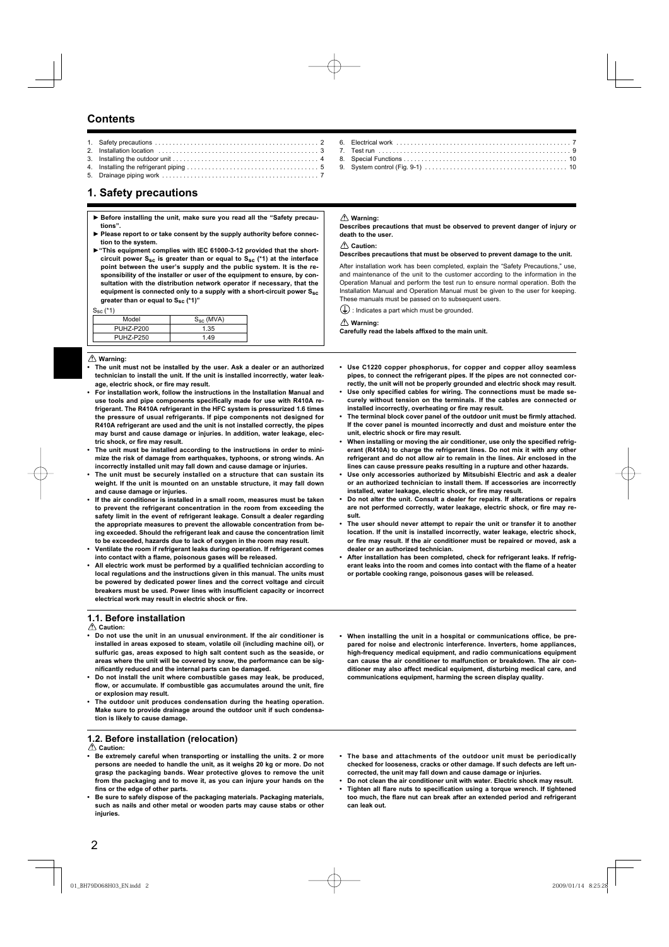### **Contents**

### **1. Safety precautions**

- **► Before installing the unit, make sure you read all the "Safety precautions".**
- ▶ Please report to or take consent by the supply authority before connec**tion to the system.**
- **►"This equipment complies with IEC 61000-3-12 provided that the shortcircuit power Ssc is greater than or equal to Ssc (\*1) at the interface point between the user's supply and the public system. It is the responsibility of the installer or user of the equipment to ensure, by consultation with the distribution network operator if necessary, that the equipment is connected only to a supply with a short-circuit power Ssc greater than or equal to Ssc (\*1)"**

### $S_{\infty}$  (\*1)

| ັບປະ             |                |
|------------------|----------------|
| Model            | $S_{SC}$ (MVA) |
| <b>PUHZ-P200</b> | 1.35           |
| PUHZ-P250        | 1.49           |
|                  |                |

### **Warning:**

- **The unit must not be installed by the user. Ask a dealer or an authorized technician to install the unit. If the unit is installed incorrectly, water leak**age, electric shock, or fire may result.
- **For installation work, follow the instructions in the Installation Manual and**  use tools and pipe components specifically made for use with R410A re**frigerant. The R410A refrigerant in the HFC system is pressurized 1.6 times the pressure of usual refrigerants. If pipe components not designed for R410A refrigerant are used and the unit is not installed correctly, the pipes may burst and cause damage or injuries. In addition, water leakage, elec**tric shock, or fire may result.
- **The unit must be installed according to the instructions in order to minimize the risk of damage from earthquakes, typhoons, or strong winds. An incorrectly installed unit may fall down and cause damage or injuries.**
- **The unit must be securely installed on a structure that can sustain its weight. If the unit is mounted on an unstable structure, it may fall down and cause damage or injuries.**
- **If the air conditioner is installed in a small room, measures must be taken to prevent the refrigerant concentration in the room from exceeding the safety limit in the event of refrigerant leakage. Consult a dealer regarding the appropriate measures to prevent the allowable concentration from being exceeded. Should the refrigerant leak and cause the concentration limit to be exceeded, hazards due to lack of oxygen in the room may result.**
- **Ventilate the room if refrigerant leaks during operation. If refrigerant comes**  into contact with a flame, poisonous gases will be released.
- All electric work must be performed by a qualified technician according to **local regulations and the instructions given in this manual. The units must be powered by dedicated power lines and the correct voltage and circuit**  breakers must be used. Power lines with insufficient capacity or incorrect electrical work may result in electric shock or fire.

### **1.1. Before installation**

### **Caution:**

- **Do not use the unit in an unusual environment. If the air conditioner is installed in areas exposed to steam, volatile oil (including machine oil), or sulfuric gas, areas exposed to high salt content such as the seaside, or areas where the unit will be covered by snow, the performance can be signifi cantly reduced and the internal parts can be damaged.**
- **Do not install the unit where combustible gases may leak, be produced,**  flow, or accumulate. If combustible gas accumulates around the unit, fire **or explosion may result.**
- **The outdoor unit produces condensation during the heating operation. Make sure to provide drainage around the outdoor unit if such condensation is likely to cause damage.**

### **1.2. Before installation (relocation)**

 **Caution:**

- **Be extremely careful when transporting or installing the units. 2 or more persons are needed to handle the unit, as it weighs 20 kg or more. Do not grasp the packaging bands. Wear protective gloves to remove the unit from the packaging and to move it, as you can injure your hands on the**  fins or the edge of other parts.
- **Be sure to safely dispose of the packaging materials. Packaging materials, such as nails and other metal or wooden parts may cause stabs or other injuries.**

 **Warning:**

**Describes precautions that must be observed to prevent danger of injury or death to the user.**

### **Caution:**

### **Describes precautions that must be observed to prevent damage to the unit.**

After installation work has been completed, explain the "Safety Precautions," use, and maintenance of the unit to the customer according to the information in the Operation Manual and perform the test run to ensure normal operation. Both the Installation Manual and Operation Manual must be given to the user for keeping. These manuals must be passed on to subsequent users.

 $\left(\frac{1}{2}\right)$ : Indicates a part which must be grounded.

### **Warning:**

Carefully read the labels affixed to the main unit.

- **Use C1220 copper phosphorus, for copper and copper alloy seamless pipes, to connect the refrigerant pipes. If the pipes are not connected correctly, the unit will not be properly grounded and electric shock may result.**
- Use only specified cables for wiring. The connections must be made se**curely without tension on the terminals. If the cables are connected or**  installed incorrectly, overheating or fire may result.
- The terminal block cover panel of the outdoor unit must be firmly attached. **If the cover panel is mounted incorrectly and dust and moisture enter the**  unit, electric shock or fire may result.
- When installing or moving the air conditioner, use only the specified refrig**erant (R410A) to charge the refrigerant lines. Do not mix it with any other refrigerant and do not allow air to remain in the lines. Air enclosed in the lines can cause pressure peaks resulting in a rupture and other hazards.**
- **Use only accessories authorized by Mitsubishi Electric and ask a dealer or an authorized technician to install them. If accessories are incorrectly**  installed, water leakage, electric shock, or fire may result.
- **Do not alter the unit. Consult a dealer for repairs. If alterations or repairs**  are not performed correctly, water leakage, electric shock, or fire may re**sult.**
- **The user should never attempt to repair the unit or transfer it to another location. If the unit is installed incorrectly, water leakage, electric shock,**  or fire may result. If the air conditioner must be repaired or moved, ask a **dealer or an authorized technician.**
- **After installation has been completed, check for refrigerant leaks. If refrig**erant leaks into the room and comes into contact with the flame of a heater **or portable cooking range, poisonous gases will be released.**
- **When installing the unit in a hospital or communications office, be prepared for noise and electronic interference. Inverters, home appliances, high-frequency medical equipment, and radio communications equipment can cause the air conditioner to malfunction or breakdown. The air conditioner may also affect medical equipment, disturbing medical care, and communications equipment, harming the screen display quality.**
- **The base and attachments of the outdoor unit must be periodically checked for looseness, cracks or other damage. If such defects are left uncorrected, the unit may fall down and cause damage or injuries.**
- **Do not clean the air conditioner unit with water. Electric shock may result.**
- Tighten all flare nuts to specification using a torque wrench. If tightened too much, the flare nut can break after an extended period and refrigerant **can leak out.**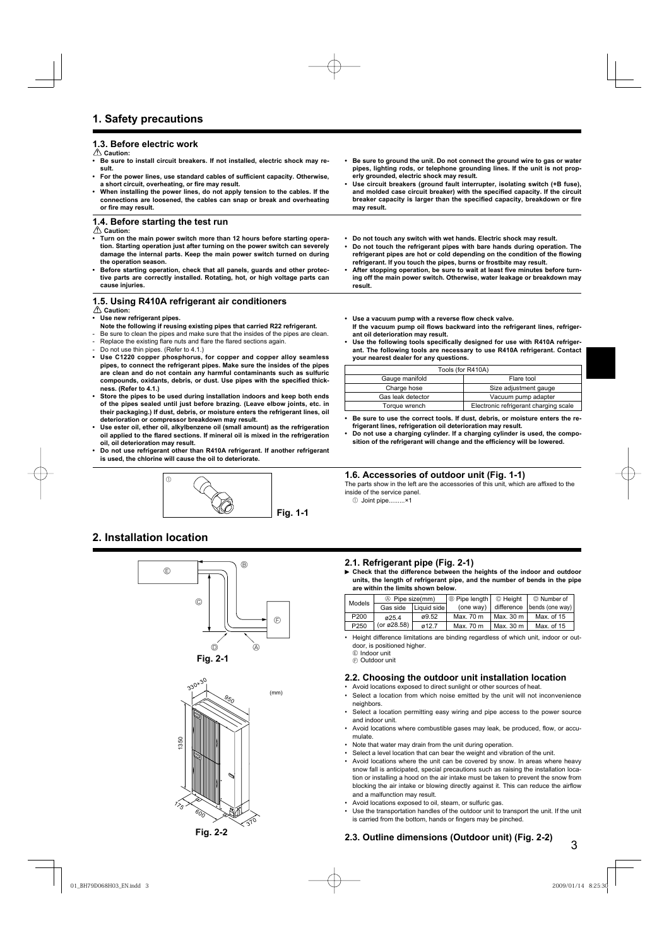### **1.3. Before electric work**

 **Caution:**

- **Be sure to install circuit breakers. If not installed, electric shock may result.**
- For the power lines, use standard cables of sufficient capacity. Otherwise, a short circuit, overheating, or fire may result.
- **When installing the power lines, do not apply tension to the cables. If the connections are loosened, the cables can snap or break and overheating**  or fire may result.

### **1.4. Before starting the test run**

 **Caution:**

- **Turn on the main power switch more than 12 hours before starting operation. Starting operation just after turning on the power switch can severely damage the internal parts. Keep the main power switch turned on during the operation season.**
- **Before starting operation, check that all panels, guards and other protective parts are correctly installed. Rotating, hot, or high voltage parts can cause injuries.**

### **1.5. Using R410A refrigerant air conditioners**

 **Caution:**

- **Use new refrigerant pipes.**
- **Note the following if reusing existing pipes that carried R22 refrigerant.**
- Be sure to clean the pipes and make sure that the insides of the pipes are clean. Replace the existing flare nuts and flare the flared sections again.
- 
- Do not use thin pipes. (Refer to 4.1.)<br>• Use C1220 conner phosphorus **• Use C1220 copper phosphorus, for copper and copper alloy seamless pipes, to connect the refrigerant pipes. Make sure the insides of the pipes are clean and do not contain any harmful contaminants such as sulfuric**  compounds, oxidants, debris, or dust. Use pipes with the specified thick**ness. (Refer to 4.1.)**
- **Store the pipes to be used during installation indoors and keep both ends of the pipes sealed until just before brazing. (Leave elbow joints, etc. in their packaging.) If dust, debris, or moisture enters the refrigerant lines, oil deterioration or compressor breakdown may result.**
- **Use ester oil, ether oil, alkylbenzene oil (small amount) as the refrigeration**  oil applied to the flared sections. If mineral oil is mixed in the refrigeration **oil, oil deterioration may result.**
- **Do not use refrigerant other than R410A refrigerant. If another refrigerant is used, the chlorine will cause the oil to deteriorate.**



### **2. Installation location**





- **Be sure to ground the unit. Do not connect the ground wire to gas or water pipes, lighting rods, or telephone grounding lines. If the unit is not properly grounded, electric shock may result.**
- **Use circuit breakers (ground fault interrupter, isolating switch (+B fuse),**  and molded case circuit breaker) with the specified capacity. If the circuit breaker capacity is larger than the specified capacity, breakdown or fire **may result.**
- **Do not touch any switch with wet hands. Electric shock may result.**
- **Do not touch the refrigerant pipes with bare hands during operation. The**  refrigerant pipes are hot or cold depending on the condition of the flowing **refrigerant. If you touch the pipes, burns or frostbite may result.**
- After stopping operation, be sure to wait at least five minutes before turn**ing off the main power switch. Otherwise, water leakage or breakdown may result.**
- Use a vacuum pump with a reverse flow check valve. If the vacuum pump oil flows backward into the refrigerant lines, refriger**ant oil deterioration may result.**
- Use the following tools specifically designed for use with R410A refriger**ant. The following tools are necessary to use R410A refrigerant. Contact your nearest dealer for any questions.**

| Tools (for R410A)            |                                       |  |  |
|------------------------------|---------------------------------------|--|--|
| Gauge manifold<br>Flare tool |                                       |  |  |
| Charge hose                  | Size adjustment gauge                 |  |  |
| Gas leak detector            | Vacuum pump adapter                   |  |  |
| Torque wrench                | Electronic refrigerant charging scale |  |  |

- **Be sure to use the correct tools. If dust, debris, or moisture enters the refrigerant lines, refrigeration oil deterioration may result.**
- **Do not use a charging cylinder. If a charging cylinder is used, the compo**sition of the refrigerant will change and the efficiency will be lowered.

### **1.6. Accessories of outdoor unit (Fig. 1-1)**

The parts show in the left are the accessories of this unit, which are affixed to the inside of the service panel.

1 Joint pipe.........×1

### **2.1. Refrigerant pipe (Fig. 2-1)**

 **Check that the difference between the heights of the indoor and outdoor units, the length of refrigerant pipe, and the number of bends in the pipe are within the limits shown below.**

| Models           | 4 Pipe size(mm) |             | $\theta$ Pipe length | © Height   | © Number of     |
|------------------|-----------------|-------------|----------------------|------------|-----------------|
|                  | Gas side        | Liquid side | (one way)            | difference | bends (one way) |
| P <sub>200</sub> | ø25.4           | ø9.52       | Max. 70 m            | Max. 30 m  | Max. of 15      |
| P250             | (or ø28.58)     | 012.7       | Max. 70 m            | Max. 30 m  | Max. of 15      |

- Height difference limitations are binding regardless of which unit, indoor or outdoor, is positioned higher.
	- E Indoor unit
	- $\circledR$  Outdoor unit

### **2.2. Choosing the outdoor unit installation location**

- Avoid locations exposed to direct sunlight or other sources of heat. Select a location from which noise emitted by the unit will not inconvenience
- neighbors. Select a location permitting easy wiring and pipe access to the power source and indoor unit.
- Avoid locations where combustible gases may leak, be produced, flow, or accumulate.
- Note that water may drain from the unit during operation.
- Select a level location that can bear the weight and vibration of the unit.
- Avoid locations where the unit can be covered by snow. In areas where heavy snow fall is anticipated, special precautions such as raising the installation location or installing a hood on the air intake must be taken to prevent the snow from blocking the air intake or blowing directly against it. This can reduce the airflow and a malfunction may result.
- Avoid locations exposed to oil, steam, or sulfuric gas.
- Use the transportation handles of the outdoor unit to transport the unit. If the unit is carried from the bottom, hands or fingers may be pinched.

### **2.3. Outline dimensions (Outdoor unit) (Fig. 2-2)**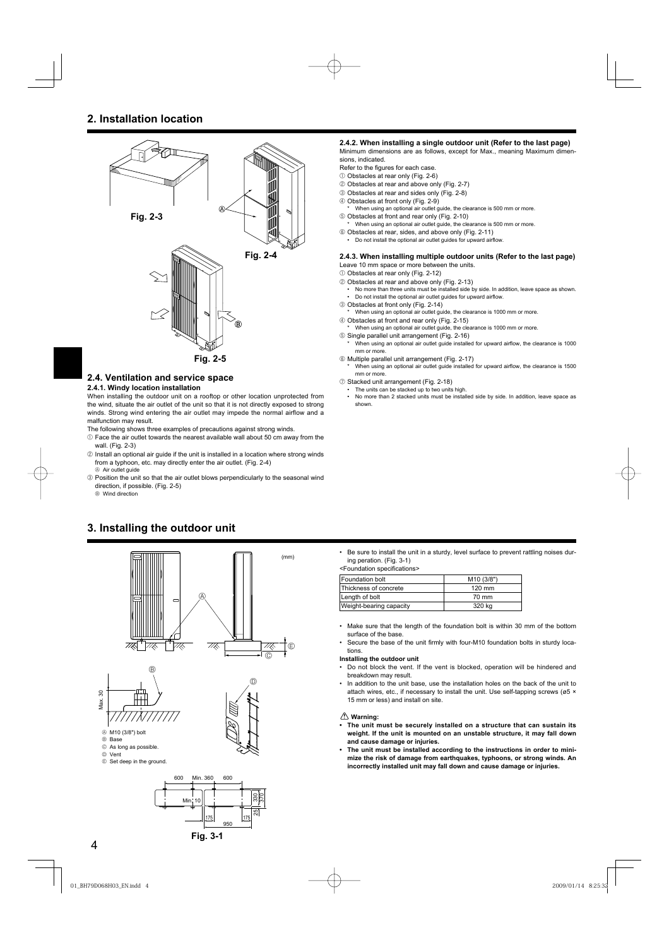

### **2.4. Ventilation and service space**

### **2.4.1. Windy location installation**

When installing the outdoor unit on a rooftop or other location unprotected from the wind, situate the air outlet of the unit so that it is not directly exposed to strong winds. Strong wind entering the air outlet may impede the normal airflow and a malfunction may result.

- The following shows three examples of precautions against strong winds.
- $0$  Face the air outlet towards the nearest available wall about 50 cm away from the wall. (Fig. 2-3)
- 2 Install an optional air guide if the unit is installed in a location where strong winds from a typhoon, etc. may directly enter the air outlet. (Fig. 2-4)  $\circledA$  Air outlet guide
- 3 Position the unit so that the air outlet blows perpendicularly to the seasonal wind direction, if possible. (Fig. 2-5)

**B** Wind direction





### **2.4.2. When installing a single outdoor unit (Refer to the last page)**

Minimum dimensions are as follows, except for Max., meaning Maximum dimensions, indicated.

- Refer to the figures for each case.
- 1 Obstacles at rear only (Fig. 2-6)
- 2 Obstacles at rear and above only (Fig. 2-7)
- 3 Obstacles at rear and sides only (Fig. 2-8)
- 4 Obstacles at front only (Fig. 2-9)
	- When using an optional air outlet guide, the clearance is 500 mm or more.
- 5 Obstacles at front and rear only (Fig. 2-10) \* When using an optional air outlet guide, the clearance is 500 mm or more.
- 6 Obstacles at rear, sides, and above only (Fig. 2-11)
	- Do not install the optional air outlet guides for upward airflow.

### **2.4.3. When installing multiple outdoor units (Refer to the last page)** Leave 10 mm space or more between the units.

1 Obstacles at rear only (Fig. 2-12)

- 2 Obstacles at rear and above only (Fig. 2-13)
	- No more than three units must be installed side by side. In addition, leave space as shown. • Do not install the optional air outlet guides for upward airflow.
- 3 Obstacles at front only (Fig. 2-14)
- When using an optional air outlet guide, the clearance is 1000 mm or more.
- 4 Obstacles at front and rear only (Fig. 2-15)
- \* When using an optional air outlet guide, the clearance is 1000 mm or more. 5 Single parallel unit arrangement (Fig. 2-16)
- When using an optional air outlet guide installed for upward airflow, the clearance is 1000 mm or more.
- 6 Multiple parallel unit arrangement (Fig. 2-17)
	- When using an optional air outlet guide installed for upward airflow, the clearance is 1500 mm or more.
- 7 Stacked unit arrangement (Fig. 2-18)
- The units can be stacked up to two units high • No more than 2 stacked units must be installed side by side. In addition, leave space as
- shown.

• Be sure to install the unit in a sturdy, level surface to prevent rattling noises during peration. (Fig. 3-1)

<Foundation specifications>

| <b>Foundation bolt</b>  | M <sub>10</sub> (3/8") |
|-------------------------|------------------------|
| Thickness of concrete   | $120$ mm               |
| Length of bolt          | 70 mm                  |
| Weight-bearing capacity | 320 ka                 |

- Make sure that the length of the foundation bolt is within 30 mm of the bottom surface of the base
- Secure the base of the unit firmly with four-M10 foundation bolts in sturdy locations.

### **Installing the outdoor unit**

- Do not block the vent. If the vent is blocked, operation will be hindered and breakdown may result.
- In addition to the unit base, use the installation holes on the back of the unit to attach wires, etc., if necessary to install the unit. Use self-tapping screws (ø5 × 15 mm or less) and install on site.

### **Warning:**

- **The unit must be securely installed on a structure that can sustain its weight. If the unit is mounted on an unstable structure, it may fall down and cause damage or injuries.**
- **The unit must be installed according to the instructions in order to minimize the risk of damage from earthquakes, typhoons, or strong winds. An incorrectly installed unit may fall down and cause damage or injuries.**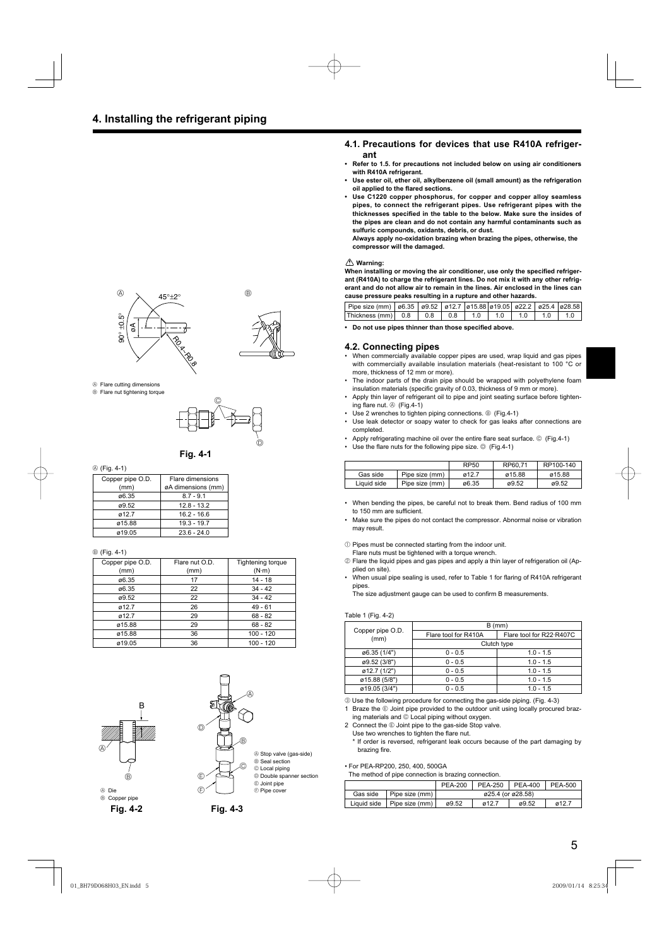### **4.1. Precautions for devices that use R410A refrigerant**

- **Refer to 1.5. for precautions not included below on using air conditioners with R410A refrigerant.**
- **Use ester oil, ether oil, alkylbenzene oil (small amount) as the refrigeration oil applied to the flared sections.**
- **Use C1220 copper phosphorus, for copper and copper alloy seamless pipes, to connect the refrigerant pipes. Use refrigerant pipes with the**  thicknesses specified in the table to the below. Make sure the insides of **the pipes are clean and do not contain any harmful contaminants such as sulfuric compounds, oxidants, debris, or dust.**

**Always apply no-oxidation brazing when brazing the pipes, otherwise, the compressor will the damaged.**

### **Warning:**

When installing or moving the air conditioner, use only the specified refriger**ant (R410A) to charge the refrigerant lines. Do not mix it with any other refrigerant and do not allow air to remain in the lines. Air enclosed in the lines can cause pressure peaks resulting in a rupture and other hazards.**

| Pipe size (mm)   ø6.35   ø9.52   ø12.7   ø15.88   ø19.05   ø22.2   ø25.4   ø28.58 |  |  |     |      |     |  |
|-----------------------------------------------------------------------------------|--|--|-----|------|-----|--|
| $ $ Thickness (mm) $ $ 0.8 $ $ 0.8 $ $ 0.8 $ $ 1.0                                |  |  | 1 O | 10 I | 1 O |  |

• Do not use pipes thinner than those specified above.

### **4.2. Connecting pipes**

- When commercially available copper pipes are used, wrap liquid and gas pipes with commercially available insulation materials (heat-resistant to 100 °C or more, thickness of 12 mm or more).
- The indoor parts of the drain pipe should be wrapped with polyethylene foam insulation materials (specific gravity of 0.03, thickness of 9 mm or more).
- Apply thin layer of refrigerant oil to pipe and joint seating surface before tightening flare nut.  $\circledcirc$  (Fig.4-1)
- Use 2 wrenches to tighten piping connections. ® (Fig.4-1)
- Use leak detector or soapy water to check for gas leaks after connections are completed.
- Apply refrigerating machine oil over the entire flare seat surface.  $\odot$  (Fig.4-1)
- Use the flare nuts for the following pipe size.  $\circledcirc$  (Fig.4-1)

|             |                | RP50  | RP60.71 | RP100-140 |
|-------------|----------------|-------|---------|-----------|
| Gas side    | Pipe size (mm) | ø12.7 | ø15.88  | ø15.88    |
| Liauid side | Pipe size (mm) | ø6.35 | ø9.52   | ø9.52     |

- When bending the pipes, be careful not to break them. Bend radius of 100 mm to 150 mm are sufficient.
- Make sure the pipes do not contact the compressor. Abnormal noise or vibration may result.
- $10$  Pipes must be connected starting from the indoor unit.
- Flare nuts must be tightened with a torque wrench.
- 2 Flare the liquid pipes and gas pipes and apply a thin layer of refrigeration oil (Applied on site).
- When usual pipe sealing is used, refer to Table 1 for flaring of R410A refrigerant pipes.

The size adjustment gauge can be used to confirm B measurements.

### Table 1 (Fig. 4-2)

|                          | $B$ (mm)             |                          |  |  |
|--------------------------|----------------------|--------------------------|--|--|
| Copper pipe O.D.<br>(mm) | Flare tool for R410A | Flare tool for R22 R407C |  |  |
|                          | Clutch type          |                          |  |  |
| ø6.35 (1/4")             | $0 - 0.5$            | $1.0 - 1.5$              |  |  |
| ø9.52 (3/8")             | $0 - 0.5$            | $1.0 - 1.5$              |  |  |
| $\emptyset$ 12.7 (1/2")  | $0 - 0.5$            | $1.0 - 1.5$              |  |  |
| ø15.88 (5/8")            | $0 - 0.5$            | $1.0 - 1.5$              |  |  |
| ø19.05 (3/4")            | $0 - 0.5$            | $1.0 - 1.5$              |  |  |

3 Use the following procedure for connecting the gas-side piping. (Fig. 4-3)

1 Braze the  $\textcircled{\tiny{\textcirc}}$  Joint pipe provided to the outdoor unit using locally procured brazing materials and  $\circledcirc$  Local piping without oxygen.

2 Connect the  $@$  Joint pipe to the gas-side Stop valve.

Use two wrenches to tighten the flare nut.

If order is reversed, refrigerant leak occurs because of the part damaging by brazing fire.

• For PEA-RP200, 250, 400, 500GA The method of pipe

| The method of pipe connection is brazing connection. |          |                                |                |                   |                |         |
|------------------------------------------------------|----------|--------------------------------|----------------|-------------------|----------------|---------|
|                                                      |          |                                | <b>PEA-200</b> | <b>PEA-250</b>    | <b>PEA-400</b> | PEA-500 |
|                                                      | Gas side | Pipe size (mm)                 |                | ø25.4 (or ø28.58) |                |         |
|                                                      |          | Liquid side   Pipe size $(mm)$ | ø9.52          | ø12.7             | ø9.52          | ø12.7   |





- A Flare cutting dimensions
- <sup>®</sup> Flare nut tightening torque



### **Fig. 4-1**

### A (Fig. 4-1)

| Copper pipe O.D. | Flare dimensions   |
|------------------|--------------------|
| (mm)             | øA dimensions (mm) |
| ø6.35            | $8.7 - 9.1$        |
| ø9.52            | $12.8 - 13.2$      |
| ø12.7            | $16.2 - 16.6$      |
| ø15.88           | $19.3 - 19.7$      |
| ø19.05           | $23.6 - 24.0$      |

### B (Fig. 4-1)

| Copper pipe O.D.<br>(mm) | Flare nut O.D.<br>(mm) | <b>Tightening torque</b><br>$(N \cdot m)$ |
|--------------------------|------------------------|-------------------------------------------|
| ø6.35                    | 17                     | $14 - 18$                                 |
| ø6.35                    | 22                     | $34 - 42$                                 |
| ø9.52                    | 22                     | $34 - 42$                                 |
| ø12.7                    | 26                     | $49 - 61$                                 |
| ø12.7                    | 29                     | $68 - 82$                                 |
| ø15.88                   | 29                     | $68 - 82$                                 |
| ø15.88                   | 36                     | $100 - 120$                               |
| ø19.05                   | 36                     | 100 - 120                                 |



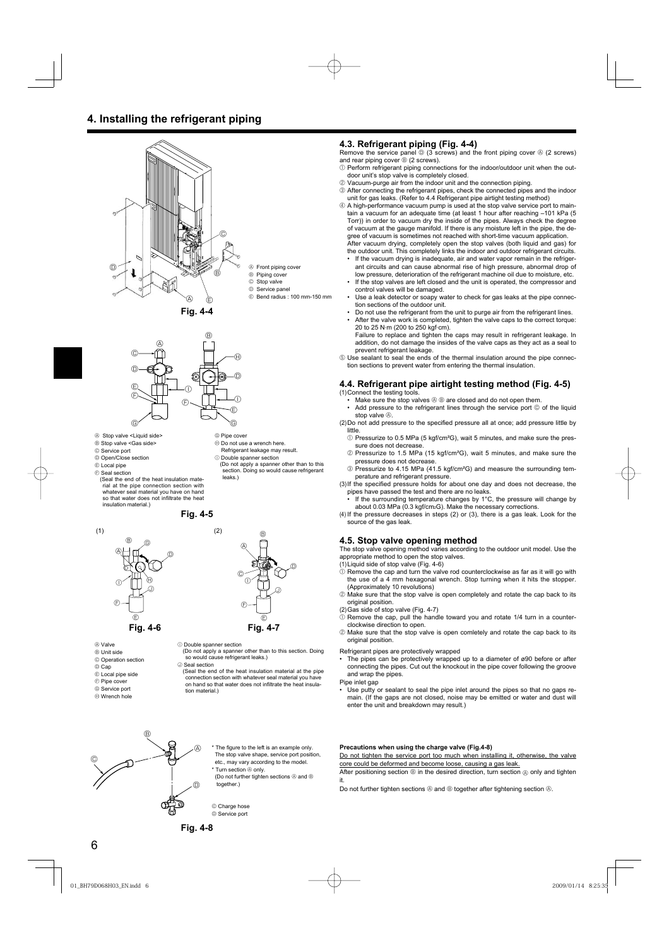### **4. Installing the refrigerant piping**







- A Stop valve <Liquid side>
- B Stop valve <Gas side>
- C Service port D Open/Close section
- E Local pipe
- $\circledR$  Seal section
- (Seal the end of the heat insulation material at the pipe connection section with whatever seal material you have on hand so that water does not infiltrate the heat<br>insulation material.)

**Fig. 4-5**



 $\circlede$  $^{\circ}$ **Fig. 4-6 Fig. 4-7**

- A Valve
- B Unit side
- C Operation section
- $@$  Cap
- E Local pipe side
- $\circledcirc$  Pipe cover
- G Service port
- $\oplus$  Wrench hole

### G Pipe cover

- 
- $<sup>①</sup>$  Double spanner section</sup>
- (Do not apply a spanner other than to this section. Doing so would cause refrigerant leaks.)



 $\circledR$  Double spanner section

(Do not apply a spanner other than to this section. Doing so would cause refrigerant leaks.) J Seal section

(Seal the end of the heat insulation material at the pipe connection section with whatever seal material you have on hand so that water does not infiltrate the heat insulation material.)

### **4.3. Refrigerant piping (Fig. 4-4)**

Remove the service panel  $\textcircled{\tiny{\textcircled{\tiny{1}}}}$  (3 screws) and the front piping cover  $\textcircled{\tiny{\textcircled{\tiny{1}}}}$  (2 screws) and rear piping cover  $\mathcal{B}$  (2 screws).

- 1 Perform refrigerant piping connections for the indoor/outdoor unit when the outdoor unit's stop valve is completely closed.
- 2 Vacuum-purge air from the indoor unit and the connection piping.
- 3 After connecting the refrigerant pipes, check the connected pipes and the indoor unit for gas leaks. (Refer to 4.4 Refrigerant pipe airtight testing method)

4 A high-performance vacuum pump is used at the stop valve service port to maintain a vacuum for an adequate time (at least 1 hour after reaching –101 kPa (5 Torr)) in order to vacuum dry the inside of the pipes. Always check the degree of vacuum at the gauge manifold. If there is any moisture left in the pipe, the degree of vacuum is sometimes not reached with short-time vacuum application. After vacuum drying, completely open the stop valves (both liquid and gas) for

the outdoor unit. This completely links the indoor and outdoor refrigerant circuits. If the vacuum drying is inadequate, air and water vapor remain in the refriger-

- ant circuits and can cause abnormal rise of high pressure, abnormal drop of low pressure, deterioration of the refrigerant machine oil due to moisture, etc. If the stop valves are left closed and the unit is operated, the compressor and
- control valves will be damaged.
- Use a leak detector or soapy water to check for gas leaks at the pipe connection sections of the outdoor unit.
- Do not use the refrigerant from the unit to purge air from the refrigerant lines. • After the valve work is completed, tighten the valve caps to the correct torque:
- 20 to 25 N·m (200 to 250 kgf·cm). Failure to replace and tighten the caps may result in refrigerant leakage. In addition, do not damage the insides of the valve caps as they act as a seal to prevent refrigerant leakage
- 5 Use sealant to seal the ends of the thermal insulation around the pipe connection sections to prevent water from entering the thermal insulation.

### **4.4. Refrigerant pipe airtight testing method (Fig. 4-5)** (1) Connect the testing tools.

- Make sure the stop valves  $\circledast \circledast$  are closed and do not open them.
- Add pressure to the refrigerant lines through the service port  $@$  of the liquid stop valve  $\mathbb{A}$ .
- (2) Do not add pressure to the specified pressure all at once; add pressure little by little.
	- 1 Pressurize to 0.5 MPa (5 kgf/cm²G), wait 5 minutes, and make sure the pressure does not decrease.
	- 2 Pressurize to 1.5 MPa (15 kgf/cm²G), wait 5 minutes, and make sure the pressure does not decrease.
	- 3 Pressurize to 4.15 MPa (41.5 kgf/cm²G) and measure the surrounding temperature and refrigerant pressure.
- (3) If the specified pressure holds for about one day and does not decrease, the pipes have passed the test and there are no leaks
	- If the surrounding temperature changes by 1°C, the pressure will change by about 0.03 MPa (0.3 kgf/cm<sub>2</sub>G). Make the necessary corrections.

(4) If the pressure decreases in steps (2) or (3), there is a gas leak. Look for the source of the gas leak.

### **4.5. Stop valve opening method**

The stop valve opening method varies according to the outdoor unit model. Use the appropriate method to open the stop valves.

- (1) Liquid side of stop valve (Fig. 4-6)
- $<sup>1</sup>$  Remove the cap and turn the valve rod counterclockwise as far as it will go with</sup> the use of a 4 mm hexagonal wrench. Stop turning when it hits the stopper. (Approximately 10 revolutions)
- 2 Make sure that the stop valve is open completely and rotate the cap back to its original position.
- (2) Gas side of stop valve (Fig. 4-7)
- $\overline{0}$  Remove the cap, pull the handle toward you and rotate 1/4 turn in a counterclockwise direction to open.
- 2 Make sure that the stop valve is open comletely and rotate the cap back to its original position.

Refrigerant pipes are protectively wrapped

- The pipes can be protectively wrapped up to a diameter of ø90 before or after connecting the pipes. Cut out the knockout in the pipe cover following the groove and wrap the pipes.
- Pipe inlet gap
- Use putty or sealant to seal the pipe inlet around the pipes so that no gaps remain. (If the gaps are not closed, noise may be emitted or water and dust will enter the unit and breakdown may result.)



- \* The figure to the left is an example only. The stop valve shape, service port position,
- etc., may vary according to the model.
- Turn section  $\circledA$  only. (Do not further tighten sections  $\circledR$  and  $\circledR$

together.)

© Charge hose D Service port

**Precautions when using the charge valve (Fig.4-8)** Do not tighten the service port too much when installing it, otherwise, the valve

core could be deformed and become loose, causing a gas leak. After positioning section  $@$  in the desired direction, turn section  $@$  only and tighten

it.

Do not further tighten sections  $\circledA$  and  $\circledB$  together after tightening section  $\circledA$ .

**Fig. 4-8**

 $\oplus$  Do not use a wrench here. Refrigerant leakage may result.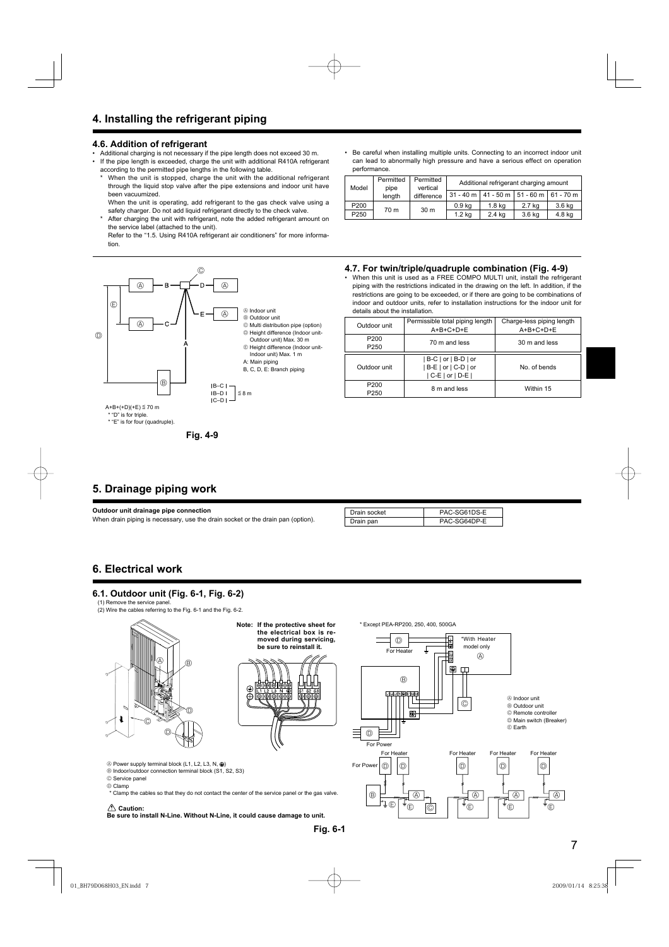### **4.6. Addition of refrigerant**

- Additional charging is not necessary if the pipe length does not exceed 30 m.<br>• If the pipe length is exceeded, charge the unit with additional R410A refriger
- If the pipe length is exceeded, charge the unit with additional R410A refrigerant according to the permitted pipe lengths in the following table.
- When the unit is stopped, charge the unit with the additional refrigerant through the liquid stop valve after the pipe extensions and indoor unit have been vacuumized.

 When the unit is operating, add refrigerant to the gas check valve using a safety charger. Do not add liquid refrigerant directly to the check valve.

After charging the unit with refrigerant, note the added refrigerant amount on the service label (attached to the unit).

 Refer to the "1.5. Using R410A refrigerant air conditioners" for more information.



• Be careful when installing multiple units. Connecting to an incorrect indoor unit can lead to abnormally high pressure and have a serious effect on operation performance.

| Model            | Permitted<br>pipe | Permitted<br>vertical | Additional refrigerant charging amount |                                                 |        |        |
|------------------|-------------------|-----------------------|----------------------------------------|-------------------------------------------------|--------|--------|
|                  | length            | difference            |                                        | $31 - 40$ m   41 - 50 m   51 - 60 m   61 - 70 m |        |        |
| P200             | 70 m              | 30 <sub>m</sub>       | 0.9 <sub>kq</sub>                      | 1.8 kg                                          | 2.7 kg | 3.6 kg |
| P <sub>250</sub> |                   |                       | 1.2 <sub>kq</sub>                      | 2.4 kg                                          | 3.6 kg | 4.8 kg |

### **4.7. For twin/triple/quadruple combination (Fig. 4-9)**

• When this unit is used as a FREE COMPO MULTI unit, install the refrigerant piping with the restrictions indicated in the drawing on the left. In addition, if the restrictions are going to be exceeded, or if there are going to be combinations of indoor and outdoor units, refer to installation instructions for the indoor unit for details about the installation.

| Outdoor unit                         | Permissible total piping length<br>$A+B+C+D+E$                     | Charge-less piping length<br>$A+B+C+D+E$ |  |
|--------------------------------------|--------------------------------------------------------------------|------------------------------------------|--|
| P <sub>200</sub><br>P <sub>250</sub> | 70 m and less                                                      | 30 m and less                            |  |
| Outdoor unit                         | B-C   or   B-D   or<br>$ B-E $ or $ C-D $ or<br>$ C-E $ or $ D-E $ | No. of bends                             |  |
| P <sub>200</sub><br>P <sub>250</sub> | 8 m and less                                                       | Within 15                                |  |

### **5. Drainage piping work**

**Outdoor unit drainage pipe connection** When drain piping is necessary, use the drain socket or the drain pan (option).

| Drain socket | PAC-SG61DS-E |
|--------------|--------------|
| Drain pan    | PAC-SG64DP-E |

### **6. Electrical work**

### **6.1. Outdoor unit (Fig. 6-1, Fig. 6-2)**

(1) Remove the service panel.

(2) Wire the cables referring to the Fig. 6-1 and the Fig. 6-2.



**Note: If the protective sheet for the electrical box is removed during servicing, be sure to reinstall it.**



 $\circledR$  Power supply terminal block (L1, L2, L3, N,  $\circledR$ )

 $\circledR$  Indoor/outdoor connection terminal block (S1, S2, S3)

C Service panel

D Clamp

\* Clamp the cables so that they do not contact the center of the service panel or the gas valve.

### **Caution:**

**Be sure to install N-Line. Without N-Line, it could cause damage to unit.**

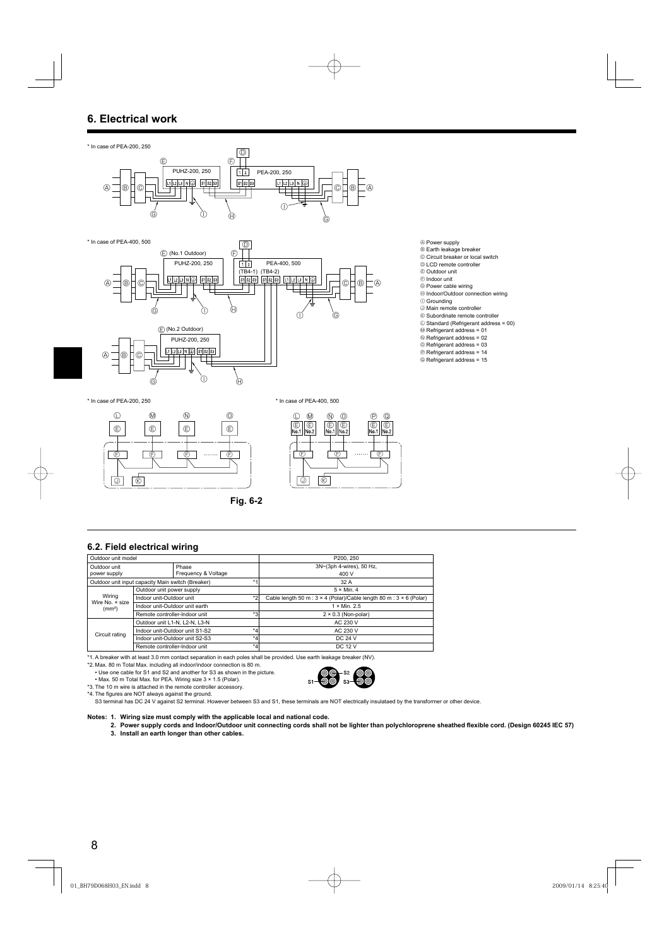### **6. Electrical work**





- A Power supply
- <sup>®</sup> Earth leakage breaker
- C Circuit breaker or local switch
- $\circledcirc$  LCD remote controller E Outdoor unit
- $\circledR$  Indoor unit
- 
- ◎ Power cable wiring<br>⑭ Indoor/Outdoor connection wiring
- $\circledcirc$  Grounding
- J Main remote controller
- $\&$  Subordinate remote controller
- L Standard (Refrigerant address = 00)
- M Refrigerant address = 01 N Refrigerant address = 02
- O Refrigerant address = 03
- P Refrigerant address = 14
- Q Refrigerant address = 15

\* In case of PEA-200, 250 \* In case of PEA-400, 500





**Fig. 6-2**

### **6.2. Field electrical wiring**

| Outdoor unit model                                        |                                           |                              |      | P200, 250                                                                         |  |  |
|-----------------------------------------------------------|-------------------------------------------|------------------------------|------|-----------------------------------------------------------------------------------|--|--|
| Outdoor unit<br>power supply                              |                                           | Phase<br>Frequency & Voltage |      | 3N~(3ph 4-wires), 50 Hz,                                                          |  |  |
|                                                           |                                           |                              |      | 400 V                                                                             |  |  |
| $*1$<br>Outdoor unit input capacity Main switch (Breaker) |                                           |                              | 32 A |                                                                                   |  |  |
|                                                           | Outdoor unit power supply                 |                              |      | $5 \times$ Min. 4                                                                 |  |  |
| Wiring<br>Wire No. × size                                 | $*2$<br>Indoor unit-Outdoor unit          |                              |      | Cable length 50 m : $3 \times 4$ (Polar)/Cable length 80 m : $3 \times 6$ (Polar) |  |  |
| (mm <sup>2</sup> )                                        | Indoor unit-Outdoor unit earth            |                              |      | $1 \times$ Min. 2.5                                                               |  |  |
|                                                           | $*3$<br>Remote controller-Indoor unit     |                              |      | $2 \times 0.3$ (Non-polar)                                                        |  |  |
|                                                           | Outdoor unit L1-N, L2-N, L3-N             |                              |      | AC 230 V                                                                          |  |  |
| Circuit rating                                            | $*_{4}$<br>Indoor unit-Outdoor unit S1-S2 |                              |      | AC 230 V                                                                          |  |  |
|                                                           | $*_{4}$<br>Indoor unit-Outdoor unit S2-S3 |                              |      | DC 24 V                                                                           |  |  |
|                                                           | $*_{4}$<br>Remote controller-Indoor unit  |                              |      | DC 12 V                                                                           |  |  |

\*1. A breaker with at least 3.0 mm contact separation in each poles shall be provided. Use earth leakage breaker (NV).

\*2. Max. 80 m Total Max. including all indoor/indoor connection is 80 m. • Use one cable for S1 and S2 and another for S3 as shown in the picture.

• Max. 50 m Total Max. for PEA. Wiring size 3 × 1.5 (Polar).

\*3. The 10 m wire is attached in the remote controller accessory.

\*4. The figures are NOT always against the ground.

S3 terminal has DC 24 V against S2 terminal. However between S3 and S1, these terminals are NOT electrically insulataed by the transformer or other device.

 $S1$ 

### **Notes: 1. Wiring size must comply with the applicable local and national code.**

2. Power supply cords and Indoor/Outdoor unit connecting cords shall not be lighter than polychloroprene sheathed flexible cord. (Design 60245 IEC 57)

S<sub>2</sub>

S<sub>3</sub>

 **3. Install an earth longer than other cables.**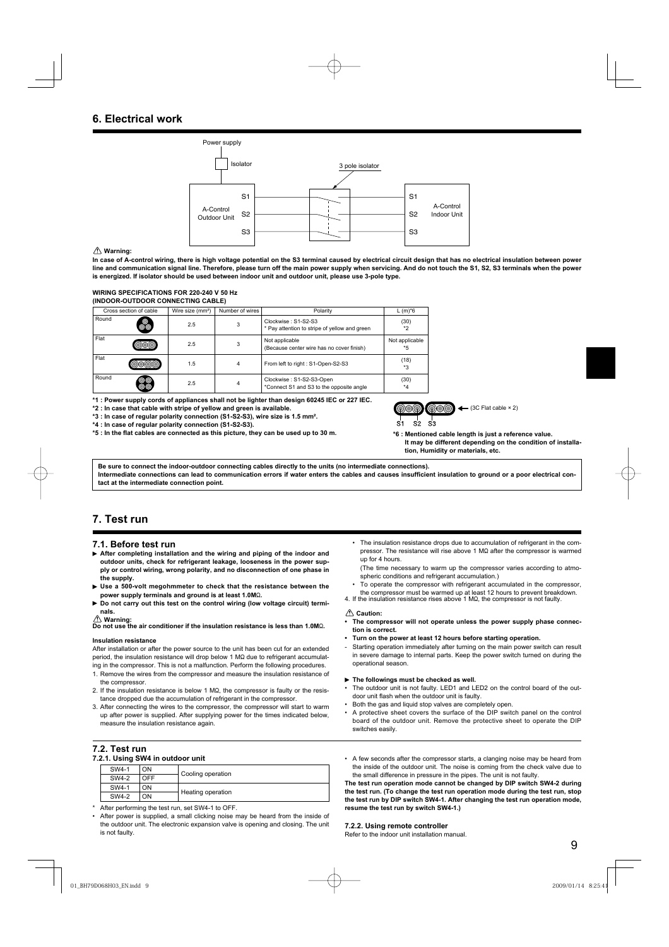### **6. Electrical work**



### **Warning:**

**In case of A-control wiring, there is high voltage potential on the S3 terminal caused by electrical circuit design that has no electrical insulation between power line and communication signal line. Therefore, please turn off the main power supply when servicing. And do not touch the S1, S2, S3 terminals when the power is energized. If isolator should be used between indoor unit and outdoor unit, please use 3-pole type.**

### **WIRING SPECIFICATIONS FOR 220-240 V 50 Hz (INDOOR-OUTDOOR CONNECTING CABLE)**

| Cross section of cable |         | Wire size (mm <sup>2</sup> ) | Number of wires | Polarity                                                             | $L(m)*6$               |
|------------------------|---------|------------------------------|-----------------|----------------------------------------------------------------------|------------------------|
| Round                  | $\circ$ | 2.5                          | 3               | Clockwise: S1-S2-S3<br>* Pay attention to stripe of yellow and green | (30)<br>$*_{2}$        |
| Flat                   |         | 2.5                          | 3               | Not applicable<br>(Because center wire has no cover finish)          | Not applicable<br>$*5$ |
| Flat                   |         | 1.5                          | 4               | From left to right : S1-Open-S2-S3                                   | (18)<br>$*3$           |
| Round                  |         | 2.5                          | 4               | Clockwise: S1-S2-S3-Open<br>*Connect S1 and S3 to the opposite angle | (30)<br>$*_{4}$        |

**\*1 : Power supply cords of appliances shall not be lighter than design 60245 IEC or 227 IEC.**

**\*2 : In case that cable with stripe of yellow and green is available.**

**\*3 : In case of regular polarity connection (S1-S2-S3), wire size is 1.5 mm².**

**\*4 : In case of regular polarity connection (S1-S2-S3).**

\*5 : In the flat cables are connected as this picture, they can be used up to 30 m.



**\*6 : Mentioned cable length is just a reference value. It may be different depending on the condition of installation, Humidity or materials, etc.**

**Be sure to connect the indoor-outdoor connecting cables directly to the units (no intermediate connections).** Intermediate connections can lead to communication errors if water enters the cables and causes insufficient insulation to ground or a poor electrical con**tact at the intermediate connection point.**

### **7. Test run**

### **7.1. Before test run**

- **After completing installation and the wiring and piping of the indoor and outdoor units, check for refrigerant leakage, looseness in the power supply or control wiring, wrong polarity, and no disconnection of one phase in the supply.**
- **Use a 500-volt megohmmeter to check that the resistance between the**  power supply terminals and ground is at least 1.0M $\Omega$ .
- **Do not carry out this test on the control wiring (low voltage circuit) terminals.**
- 

∕ ∆ Warning:<br>Do not use the air conditioner if the insulation resistance is less than 1.0MΩ.

### **Insulation resistance**

After installation or after the power source to the unit has been cut for an extended  $period.$  the insulation resistance will drop below 1 M $\Omega$  due to refrigerant accumulating in the compressor. This is not a malfunction. Perform the following procedures.

- 1. Remove the wires from the compressor and measure the insulation resistance of the compressor.
- 2. If the insulation resistance is below 1  $M\Omega$ , the compressor is faulty or the resistance dropped due the accumulation of refrigerant in the compressor.
- 3. After connecting the wires to the compressor, the compressor will start to warm up after power is supplied. After supplying power for the times indicated below, measure the insulation resistance again.

### **7.2. Test run**

### **7.2.1. Using SW4 in outdoor unit**

| -     |     |                   |  |
|-------|-----|-------------------|--|
| SW4-1 | OΝ  |                   |  |
| SW4-2 | OFF | Cooling operation |  |
| SW4-1 | OΝ  | Heating operation |  |
| SW4-2 | OΝ  |                   |  |

- After performing the test run, set SW4-1 to OFF.
- After power is supplied, a small clicking noise may be heard from the inside of the outdoor unit. The electronic expansion valve is opening and closing. The unit is not faulty.
- The insulation resistance drops due to accumulation of refrigerant in the compressor. The resistance will rise above 1  $\text{M}\Omega$  after the compressor is warmed up for 4 hours.
- (The time necessary to warm up the compressor varies according to atmospheric conditions and refrigerant accumulation.)
- To operate the compressor with refrigerant accumulated in the compressor,
- the compressor must be warmed up at least 12 hours to prevent breakdown.<br>4. If the insulation resistance rises above 1 MΩ, the compressor is not faulty.

### **Caution:**

- **The compressor will not operate unless the power supply phase connection is correct.**
- **Turn on the power at least 12 hours before starting operation.**
- Starting operation immediately after turning on the main power switch can result in severe damage to internal parts. Keep the power switch turned on during the operational season.
- **The followings must be checked as well.**
- The outdoor unit is not faulty. LED1 and LED2 on the control board of the outdoor unit flash when the outdoor unit is faulty.
- Both the gas and liquid stop valves are completely open.
- A protective sheet covers the surface of the DIP switch panel on the control board of the outdoor unit. Remove the protective sheet to operate the DIP switches easily.
- A few seconds after the compressor starts, a clanging noise may be heard from the inside of the outdoor unit. The noise is coming from the check valve due to the small difference in pressure in the pipes. The unit is not faulty.

**The test run operation mode cannot be changed by DIP switch SW4-2 during the test run. (To change the test run operation mode during the test run, stop the test run by DIP switch SW4-1. After changing the test run operation mode, resume the test run by switch SW4-1.)**

### **7.2.2. Using remote controller**

Refer to the indoor unit installation manual.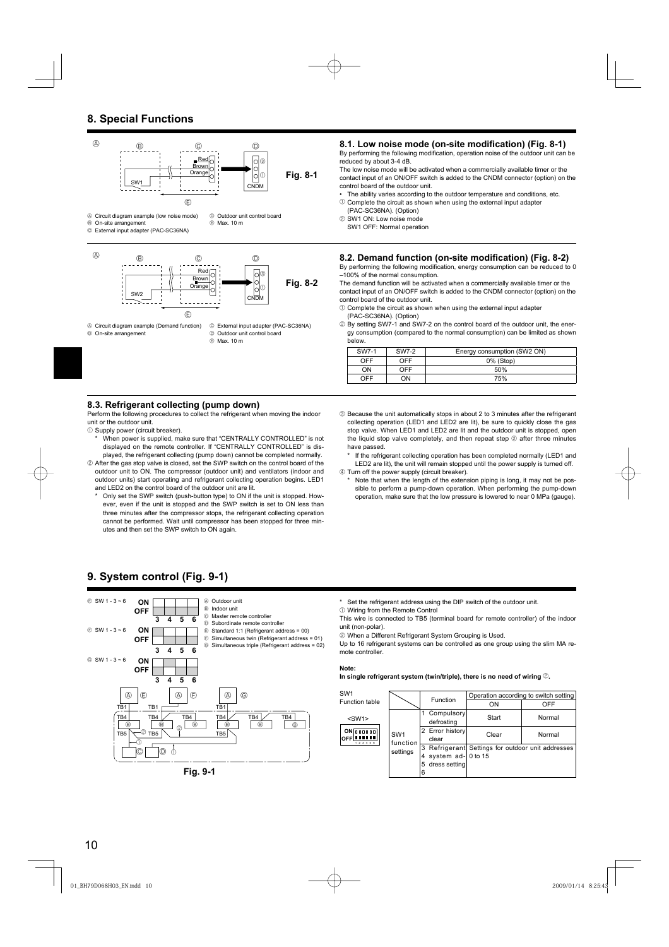### **8. Special Functions**



B On-site arrangement

D Outdoor unit control board E Max. 10 m

### 8.1. Low noise mode (on-site modification) (Fig. 8-1)

By performing the following modification, operation noise of the outdoor unit can be reduced by about 3-4 dB.

The low noise mode will be activated when a commercially available timer or the contact input of an ON/OFF switch is added to the CNDM connector (option) on the control board of the outdoor unit.

The ability varies according to the outdoor temperature and conditions, etc.

 $10$  Complete the circuit as shown when using the external input adapter (PAC-SC36NA). (Option)

2 SW1 ON: Low noise mode

SW1 OFF: Normal operation

### 8.2. Demand function (on-site modification) (Fig. 8-2)

By performing the following modification, energy consumption can be reduced to 0 –100% of the normal consumption.

The demand function will be activated when a commercially available timer or the contact input of an ON/OFF switch is added to the CNDM connector (option) on the control board of the outdoor unit.

 $10$  Complete the circuit as shown when using the external input adapter (PAC-SC36NA). (Option)

2 By setting SW7-1 and SW7-2 on the control board of the outdoor unit, the energy consumption (compared to the normal consumption) can be limited as shown below.

| SW7-1      | <b>SW7-2</b> | Energy consumption (SW2 ON) |  |  |
|------------|--------------|-----------------------------|--|--|
| <b>OFF</b> | <b>OFF</b>   | 0% (Stop)                   |  |  |
| ON         | <b>OFF</b>   | 50%                         |  |  |
| OFF        | ЮC           | 75%                         |  |  |

### **8.3. Refrigerant collecting (pump down)**

Perform the following procedures to collect the refrigerant when moving the indoor unit or the outdoor unit.

- $0$  Supply power (circuit breaker).
	- When power is supplied, make sure that "CENTRALLY CONTROLLED" is not displayed on the remote controller. If "CENTRALLY CONTROLLED" is displayed, the refrigerant collecting (pump down) cannot be completed normally.
- 2 After the gas stop valve is closed, set the SWP switch on the control board of the outdoor unit to ON. The compressor (outdoor unit) and ventilators (indoor and outdoor units) start operating and refrigerant collecting operation begins. LED1 and LED2 on the control board of the outdoor unit are lit.
	- Only set the SWP switch (push-button type) to ON if the unit is stopped. However, even if the unit is stopped and the SWP switch is set to ON less than three minutes after the compressor stops, the refrigerant collecting operation cannot be performed. Wait until compressor has been stopped for three minutes and then set the SWP switch to ON again.
- **9. System control (Fig. 9-1)**



**Fig. 9-1**

3 Because the unit automatically stops in about 2 to 3 minutes after the refrigerant collecting operation (LED1 and LED2 are lit), be sure to quickly close the gas stop valve. When LED1 and LED2 are lit and the outdoor unit is stopped, open the liquid stop valve completely, and then repeat step  $@$  after three minutes have passed.

If the refrigerant collecting operation has been completed normally (LED1 and LED2 are lit), the unit will remain stopped until the power supply is turned off.

4 Turn off the power supply (circuit breaker).

Note that when the length of the extension piping is long, it may not be possible to perform a pump-down operation. When performing the pump-down operation, make sure that the low pressure is lowered to near 0 MPa (gauge).

Set the refrigerant address using the DIP switch of the outdoor unit.  $0$  Wiring from the Remote Control

This wire is connected to TB5 (terminal board for remote controller) of the indoor unit (non-polar).

2 When a Different Refrigerant System Grouping is Used.

Up to 16 refrigerant systems can be controlled as one group using the slim MA remote controller.

### **Note:**

**In single refrigerant system (twin/triple), there is no need of wiring** 2**.**

| SW <sub>1</sub>                    |                                         | Function                 | Operation according to switch setting             |        |
|------------------------------------|-----------------------------------------|--------------------------|---------------------------------------------------|--------|
| Function table                     |                                         |                          | ON                                                | OFF    |
| $<$ SW1 $>$                        | SW <sub>1</sub><br>function<br>settings | Compulsory<br>defrosting | Start                                             | Normal |
| $ON$ $[00000]$<br>OFF<br>2 3 4 5 6 |                                         | 2 Error history<br>clear | Clear                                             | Normal |
|                                    |                                         |                          | 3 Refrigerant Settings for outdoor unit addresses |        |
|                                    |                                         | system $ad-10$ to 15     |                                                   |        |
|                                    |                                         | dress setting<br>$15 -$  |                                                   |        |
|                                    |                                         | 6                        |                                                   |        |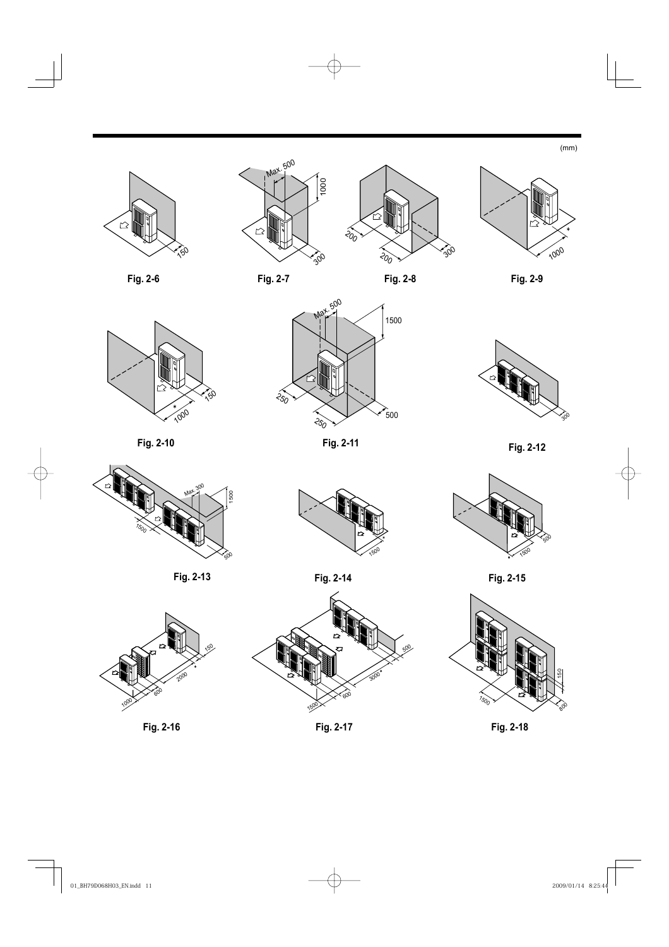(mm)





















**Fig. 2-10**